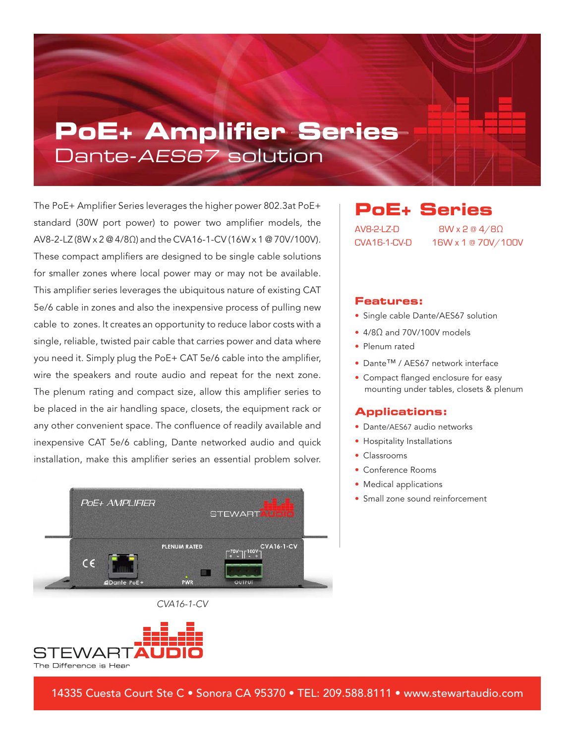# **PoE+ Amplifier Series**  Dante-AES67 solution

The PoE+ Amplifier Series leverages the higher power 802.3at PoE+ standard (30W port power) to power two amplifier models, the AV8-2-LZ (8W x 2 @ 4/8Ω) and the CVA16-1-CV (16W x 1 @ 70V/100V). These compact amplifiers are designed to be single cable solutions for smaller zones where local power may or may not be available. This amplifier series leverages the ubiquitous nature of existing CAT 5e/6 cable in zones and also the inexpensive process of pulling new cable to zones. It creates an opportunity to reduce labor costs with a single, reliable, twisted pair cable that carries power and data where you need it. Simply plug the PoE+ CAT 5e/6 cable into the amplifier, wire the speakers and route audio and repeat for the next zone. The plenum rating and compact size, allow this amplifier series to be placed in the air handling space, closets, the equipment rack or any other convenient space. The confluence of readily available and inexpensive CAT 5e/6 cabling, Dante networked audio and quick installation, make this amplifier series an essential problem solver.



#### CVA16-1-CV



### **PoE+ Series**

AV8-2-LZ-D 8W x 2 @ 4/8Ω CVA16-1-CV-D 16W x 1 @ 70V/100V

#### **Features:**

- Single cable Dante/AES67 solution
- 4/8Ω and 70V/100V models
- Plenum rated
- Dante™ / AES67 network interface
- Compact flanged enclosure for easy mounting under tables, closets & plenum

#### **Applications:**

- Dante/AES67 audio networks
- Hospitality Installations
- Classrooms
- Conference Rooms
- Medical applications
- Small zone sound reinforcement

14335 Cuesta Court Ste C • Sonora CA 95370 • TEL: 209.588.8111 • www.stewartaudio.com